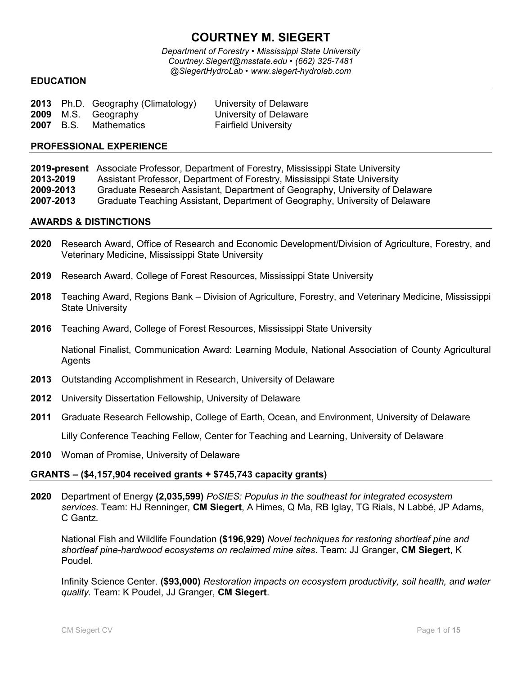# **COURTNEY M. SIEGERT**

*Department of Forestry • Mississippi State University Courtney.Siegert@msstate.edu • (662) 325-7481 @SiegertHydroLab • www.siegert-hydrolab.com*

#### **EDUCATION**

|                  | 2013 Ph.D. Geography (Climatology) | University of Delaware      |
|------------------|------------------------------------|-----------------------------|
|                  | <b>2009</b> M.S. Geography         | University of Delaware      |
| <b>2007</b> B.S. | Mathematics                        | <b>Fairfield University</b> |

#### **PROFESSIONAL EXPERIENCE**

**2019-present** Associate Professor, Department of Forestry, Mississippi State University **2013-2019** Assistant Professor, Department of Forestry, Mississippi State University **2009-2013** Graduate Research Assistant, Department of Geography, University of Delaware **2007-2013** Graduate Teaching Assistant, Department of Geography, University of Delaware

#### **AWARDS & DISTINCTIONS**

- **2020** Research Award, Office of Research and Economic Development/Division of Agriculture, Forestry, and Veterinary Medicine, Mississippi State University
- **2019** Research Award, College of Forest Resources, Mississippi State University
- **2018** Teaching Award, Regions Bank Division of Agriculture, Forestry, and Veterinary Medicine, Mississippi State University
- **2016** Teaching Award, College of Forest Resources, Mississippi State University

National Finalist, Communication Award: Learning Module, National Association of County Agricultural Agents

- **2013** Outstanding Accomplishment in Research, University of Delaware
- **2012** University Dissertation Fellowship, University of Delaware
- **2011** Graduate Research Fellowship, College of Earth, Ocean, and Environment, University of Delaware

Lilly Conference Teaching Fellow, Center for Teaching and Learning, University of Delaware

**2010** Woman of Promise, University of Delaware

# **GRANTS – (\$4,157,904 received grants + \$745,743 capacity grants)**

**2020** Department of Energy **(2,035,599)** *PoSIES: Populus in the southeast for integrated ecosystem services*. Team: HJ Renninger, **CM Siegert**, A Himes, Q Ma, RB Iglay, TG Rials, N Labbé, JP Adams, C Gantz.

National Fish and Wildlife Foundation **(\$196,929)** *Novel techniques for restoring shortleaf pine and shortleaf pine-hardwood ecosystems on reclaimed mine sites*. Team: JJ Granger, **CM Siegert**, K Poudel.

Infinity Science Center. **(\$93,000)** *Restoration impacts on ecosystem productivity, soil health, and water quality.* Team: K Poudel, JJ Granger, **CM Siegert**.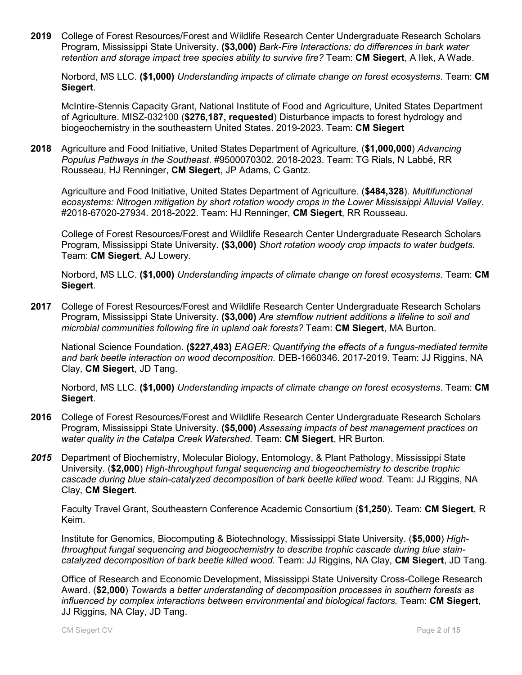**2019** College of Forest Resources/Forest and Wildlife Research Center Undergraduate Research Scholars Program, Mississippi State University. **(\$3,000)** *Bark-Fire Interactions: do differences in bark water retention and storage impact tree species ability to survive fire?* Team: **CM Siegert**, A Ilek, A Wade.

Norbord, MS LLC. **(\$1,000)** *Understanding impacts of climate change on forest ecosystems*. Team: **CM Siegert**.

McIntire-Stennis Capacity Grant, National Institute of Food and Agriculture, United States Department of Agriculture. MISZ-032100 (**\$276,187, requested**) Disturbance impacts to forest hydrology and biogeochemistry in the southeastern United States. 2019-2023. Team: **CM Siegert**

**2018** Agriculture and Food Initiative, United States Department of Agriculture. (**\$1,000,000**) *Advancing Populus Pathways in the Southeast*. #9500070302. 2018-2023. Team: TG Rials, N Labbé, RR Rousseau, HJ Renninger, **CM Siegert**, JP Adams, C Gantz.

Agriculture and Food Initiative, United States Department of Agriculture. (**\$484,328**). *Multifunctional ecosystems: Nitrogen mitigation by short rotation woody crops in the Lower Mississippi Alluvial Valley*. #2018-67020-27934. 2018-2022. Team: HJ Renninger, **CM Siegert**, RR Rousseau.

College of Forest Resources/Forest and Wildlife Research Center Undergraduate Research Scholars Program, Mississippi State University. **(\$3,000)** *Short rotation woody crop impacts to water budgets.* Team: **CM Siegert**, AJ Lowery.

Norbord, MS LLC. **(\$1,000)** *Understanding impacts of climate change on forest ecosystems*. Team: **CM Siegert**.

**2017** College of Forest Resources/Forest and Wildlife Research Center Undergraduate Research Scholars Program, Mississippi State University. **(\$3,000)** *Are stemflow nutrient additions a lifeline to soil and microbial communities following fire in upland oak forests?* Team: **CM Siegert**, MA Burton.

National Science Foundation. **(\$227,493)** *EAGER: Quantifying the effects of a fungus-mediated termite and bark beetle interaction on wood decomposition.* DEB-1660346. 2017-2019. Team: JJ Riggins, NA Clay, **CM Siegert**, JD Tang.

Norbord, MS LLC. **(\$1,000)** *Understanding impacts of climate change on forest ecosystems*. Team: **CM Siegert**.

- **2016** College of Forest Resources/Forest and Wildlife Research Center Undergraduate Research Scholars Program, Mississippi State University. **(\$5,000)** *Assessing impacts of best management practices on water quality in the Catalpa Creek Watershed.* Team: **CM Siegert**, HR Burton.
- *2015* Department of Biochemistry, Molecular Biology, Entomology, & Plant Pathology, Mississippi State University. (**\$2,000**) *High-throughput fungal sequencing and biogeochemistry to describe trophic cascade during blue stain-catalyzed decomposition of bark beetle killed wood.* Team: JJ Riggins, NA Clay, **CM Siegert**.

Faculty Travel Grant, Southeastern Conference Academic Consortium (**\$1,250**). Team: **CM Siegert**, R Keim.

Institute for Genomics, Biocomputing & Biotechnology, Mississippi State University. (**\$5,000**) *Highthroughput fungal sequencing and biogeochemistry to describe trophic cascade during blue staincatalyzed decomposition of bark beetle killed wood.* Team: JJ Riggins, NA Clay, **CM Siegert**, JD Tang.

Office of Research and Economic Development, Mississippi State University Cross-College Research Award. (**\$2,000**) *Towards a better understanding of decomposition processes in southern forests as influenced by complex interactions between environmental and biological factors.* Team: **CM Siegert**, JJ Riggins, NA Clay, JD Tang.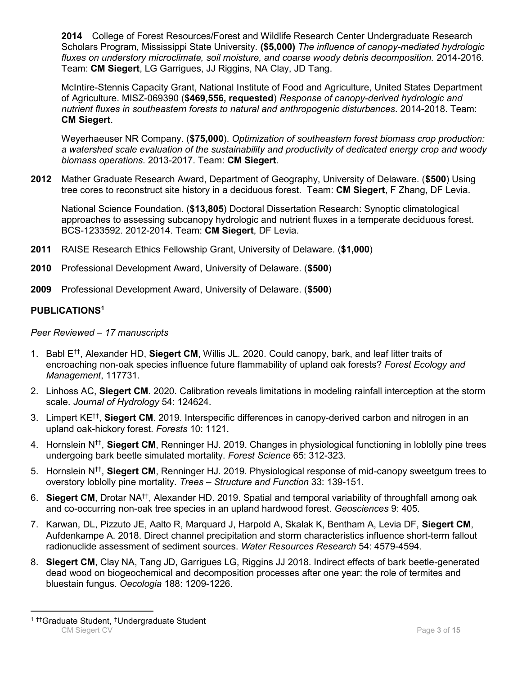**2014** College of Forest Resources/Forest and Wildlife Research Center Undergraduate Research Scholars Program, Mississippi State University. **(\$5,000)** *The influence of canopy-mediated hydrologic fluxes on understory microclimate, soil moisture, and coarse woody debris decomposition.* 2014-2016. Team: **CM Siegert**, LG Garrigues, JJ Riggins, NA Clay, JD Tang.

McIntire-Stennis Capacity Grant, National Institute of Food and Agriculture, United States Department of Agriculture. MISZ-069390 (**\$469,556, requested**) *Response of canopy-derived hydrologic and nutrient fluxes in southeastern forests to natural and anthropogenic disturbances*. 2014-2018. Team: **CM Siegert**.

Weyerhaeuser NR Company. (**\$75,000**). *Optimization of southeastern forest biomass crop production: a watershed scale evaluation of the sustainability and productivity of dedicated energy crop and woody biomass operations*. 2013-2017. Team: **CM Siegert**.

**2012** Mather Graduate Research Award, Department of Geography, University of Delaware. (**\$500**) Using tree cores to reconstruct site history in a deciduous forest. Team: **CM Siegert**, F Zhang, DF Levia.

National Science Foundation. (**\$13,805**) Doctoral Dissertation Research: Synoptic climatological approaches to assessing subcanopy hydrologic and nutrient fluxes in a temperate deciduous forest. BCS-1233592. 2012-2014. Team: **CM Siegert**, DF Levia.

- **2011** RAISE Research Ethics Fellowship Grant, University of Delaware. (**\$1,000**)
- **2010** Professional Development Award, University of Delaware. (**\$500**)
- **2009** Professional Development Award, University of Delaware. (**\$500**)

# **PUBLICATIONS<sup>1</sup>**

#### *Peer Reviewed – 17 manuscripts*

- 1. Babl E††, Alexander HD, **Siegert CM**, Willis JL. 2020. Could canopy, bark, and leaf litter traits of encroaching non-oak species influence future flammability of upland oak forests? *Forest Ecology and Management*, 117731.
- 2. Linhoss AC, **Siegert CM**. 2020. Calibration reveals limitations in modeling rainfall interception at the storm scale. *Journal of Hydrology* 54: 124624.
- 3. Limpert KE†† , **Siegert CM**. 2019. Interspecific differences in canopy-derived carbon and nitrogen in an upland oak-hickory forest. *Forests* 10: 1121.
- 4. Hornslein N†† , **Siegert CM**, Renninger HJ. 2019. Changes in physiological functioning in loblolly pine trees undergoing bark beetle simulated mortality. *Forest Science* 65: 312-323.
- 5. Hornslein N†† , **Siegert CM**, Renninger HJ. 2019. Physiological response of mid-canopy sweetgum trees to overstory loblolly pine mortality. *Trees – Structure and Function* 33: 139-151.
- 6. Siegert CM, Drotar NA<sup>††</sup>, Alexander HD. 2019. Spatial and temporal variability of throughfall among oak and co-occurring non-oak tree species in an upland hardwood forest. *Geosciences* 9: 405.
- 7. Karwan, DL, Pizzuto JE, Aalto R, Marquard J, Harpold A, Skalak K, Bentham A, Levia DF, **Siegert CM**, Aufdenkampe A. 2018. Direct channel precipitation and storm characteristics influence short-term fallout radionuclide assessment of sediment sources. *Water Resources Research* 54: 4579-4594.
- 8. **Siegert CM**, Clay NA, Tang JD, Garrigues LG, Riggins JJ 2018. Indirect effects of bark beetle-generated dead wood on biogeochemical and decomposition processes after one year: the role of termites and bluestain fungus. *Oecologia* 188: 1209-1226.

 $\overline{a}$ 

**CM Siegert CV** Page **3** of **15** <sup>1</sup> ††Graduate Student, †Undergraduate Student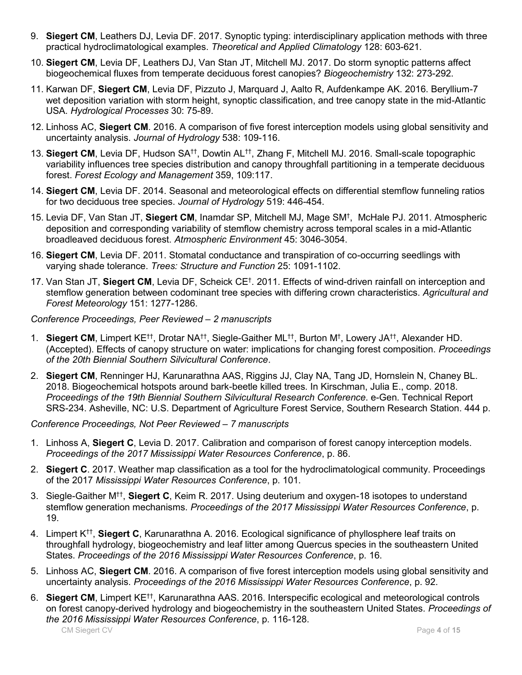- 9. **Siegert CM**, Leathers DJ, Levia DF. 2017. Synoptic typing: interdisciplinary application methods with three practical hydroclimatological examples. *Theoretical and Applied Climatology* 128: 603-621.
- 10. **Siegert CM**, Levia DF, Leathers DJ, Van Stan JT, Mitchell MJ. 2017. Do storm synoptic patterns affect biogeochemical fluxes from temperate deciduous forest canopies? *Biogeochemistry* 132: 273-292.
- 11. Karwan DF, **Siegert CM**, Levia DF, Pizzuto J, Marquard J, Aalto R, Aufdenkampe AK. 2016. Beryllium-7 wet deposition variation with storm height, synoptic classification, and tree canopy state in the mid-Atlantic USA. *Hydrological Processes* 30: 75-89.
- 12. Linhoss AC, **Siegert CM**. 2016. A comparison of five forest interception models using global sensitivity and uncertainty analysis. *Journal of Hydrology* 538: 109-116.
- 13. **Siegert CM**, Levia DF, Hudson SA††, Dowtin AL†† , Zhang F, Mitchell MJ. 2016. Small-scale topographic variability influences tree species distribution and canopy throughfall partitioning in a temperate deciduous forest. *Forest Ecology and Management* 359, 109:117.
- 14. **Siegert CM**, Levia DF. 2014. Seasonal and meteorological effects on differential stemflow funneling ratios for two deciduous tree species. *Journal of Hydrology* 519: 446-454.
- 15. Levia DF, Van Stan JT, **Siegert CM**, Inamdar SP, Mitchell MJ, Mage SM† , McHale PJ. 2011. Atmospheric deposition and corresponding variability of stemflow chemistry across temporal scales in a mid-Atlantic broadleaved deciduous forest. *Atmospheric Environment* 45: 3046-3054.
- 16. **Siegert CM**, Levia DF. 2011. Stomatal conductance and transpiration of co-occurring seedlings with varying shade tolerance. *Trees: Structure and Function* 25: 1091-1102.
- 17. Van Stan JT, **Siegert CM**, Levia DF, Scheick CE† . 2011. Effects of wind-driven rainfall on interception and stemflow generation between codominant tree species with differing crown characteristics. *Agricultural and Forest Meteorology* 151: 1277-1286.

# *Conference Proceedings, Peer Reviewed – 2 manuscripts*

- 1. **Siegert CM**, Limpert KE††, Drotar NA††, Siegle-Gaither ML††, Burton M† , Lowery JA††, Alexander HD. (Accepted). Effects of canopy structure on water: implications for changing forest composition. *Proceedings of the 20th Biennial Southern Silvicultural Conference*.
- 2. **Siegert CM**, Renninger HJ, Karunarathna AAS, Riggins JJ, Clay NA, Tang JD, Hornslein N, Chaney BL. 2018. Biogeochemical hotspots around bark-beetle killed trees. In Kirschman, Julia E., comp. 2018. *Proceedings of the 19th Biennial Southern Silvicultural Research Conference*. e-Gen. Technical Report SRS-234. Asheville, NC: U.S. Department of Agriculture Forest Service, Southern Research Station. 444 p.

*Conference Proceedings, Not Peer Reviewed – 7 manuscripts*

- 1. Linhoss A, **Siegert C**, Levia D. 2017. Calibration and comparison of forest canopy interception models. *Proceedings of the 2017 Mississippi Water Resources Conference*, p. 86.
- 2. **Siegert C**. 2017. Weather map classification as a tool for the hydroclimatological community. Proceedings of the 2017 *Mississippi Water Resources Conference*, p. 101.
- 3. Siegle-Gaither M<sup>††</sup>, **Siegert C**, Keim R. 2017. Using deuterium and oxygen-18 isotopes to understand stemflow generation mechanisms. *Proceedings of the 2017 Mississippi Water Resources Conference*, p. 19.
- 4. Limpert K†† , **Siegert C**, Karunarathna A. 2016. Ecological significance of phyllosphere leaf traits on throughfall hydrology, biogeochemistry and leaf litter among Quercus species in the southeastern United States. *Proceedings of the 2016 Mississippi Water Resources Conference*, p. 16.
- 5. Linhoss AC, **Siegert CM**. 2016. A comparison of five forest interception models using global sensitivity and uncertainty analysis. *Proceedings of the 2016 Mississippi Water Resources Conference*, p. 92.
- 6. **Siegert CM**, Limpert KE††, Karunarathna AAS. 2016. Interspecific ecological and meteorological controls on forest canopy-derived hydrology and biogeochemistry in the southeastern United States. *Proceedings of the 2016 Mississippi Water Resources Conference*, p. 116-128.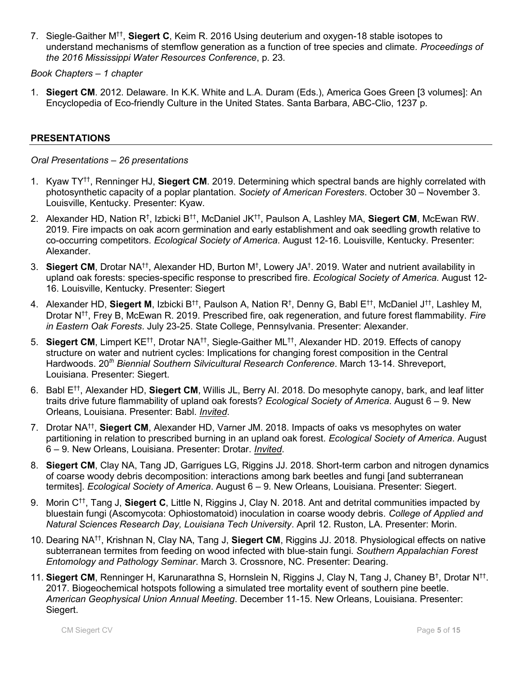7. Siegle-Gaither M<sup>††</sup>, **Siegert C**, Keim R. 2016 Using deuterium and oxygen-18 stable isotopes to understand mechanisms of stemflow generation as a function of tree species and climate. *Proceedings of the 2016 Mississippi Water Resources Conference*, p. 23.

*Book Chapters – 1 chapter*

1. **Siegert CM**. 2012. Delaware. In K.K. White and L.A. Duram (Eds.), America Goes Green [3 volumes]: An Encyclopedia of Eco-friendly Culture in the United States. Santa Barbara, ABC-Clio, 1237 p.

### **PRESENTATIONS**

#### *Oral Presentations – 26 presentations*

- 1. Kyaw TY††, Renninger HJ, **Siegert CM**. 2019. Determining which spectral bands are highly correlated with photosynthetic capacity of a poplar plantation. *Society of American Foresters*. October 30 – November 3. Louisville, Kentucky. Presenter: Kyaw.
- 2. Alexander HD, Nation R† , Izbicki B††, McDaniel JK††, Paulson A, Lashley MA, **Siegert CM**, McEwan RW. 2019. Fire impacts on oak acorn germination and early establishment and oak seedling growth relative to co-occurring competitors. *Ecological Society of America*. August 12-16. Louisville, Kentucky. Presenter: Alexander.
- 3. **Siegert CM**, Drotar NA††, Alexander HD, Burton M† , Lowery JA† . 2019. Water and nutrient availability in upland oak forests: species-specific response to prescribed fire. *Ecological Society of America*. August 12- 16. Louisville, Kentucky. Presenter: Siegert
- 4. Alexander HD, **Siegert M**, Izbicki B††, Paulson A, Nation R† , Denny G, Babl E††, McDaniel J††, Lashley M, Drotar N††, Frey B, McEwan R. 2019. Prescribed fire, oak regeneration, and future forest flammability. *Fire in Eastern Oak Forests*. July 23-25. State College, Pennsylvania. Presenter: Alexander.
- 5. Siegert CM, Limpert KE<sup>††</sup>, Drotar NA<sup>††</sup>, Siegle-Gaither ML<sup>††</sup>, Alexander HD. 2019. Effects of canopy structure on water and nutrient cycles: Implications for changing forest composition in the Central Hardwoods. 20*th Biennial Southern Silvicultural Research Conference*. March 13-14. Shreveport, Louisiana. Presenter: Siegert.
- 6. Babl E††, Alexander HD, **Siegert CM**, Willis JL, Berry AI. 2018. Do mesophyte canopy, bark, and leaf litter traits drive future flammability of upland oak forests? *Ecological Society of America*. August 6 – 9. New Orleans, Louisiana. Presenter: Babl. *Invited*.
- 7. Drotar NA†† , **Siegert CM**, Alexander HD, Varner JM. 2018. Impacts of oaks vs mesophytes on water partitioning in relation to prescribed burning in an upland oak forest. *Ecological Society of America*. August 6 – 9. New Orleans, Louisiana. Presenter: Drotar. *Invited*.
- 8. **Siegert CM**, Clay NA, Tang JD, Garrigues LG, Riggins JJ. 2018. Short-term carbon and nitrogen dynamics of coarse woody debris decomposition: interactions among bark beetles and fungi [and subterranean termites]. *Ecological Society of America*. August 6 – 9. New Orleans, Louisiana. Presenter: Siegert.
- 9. Morin C††, Tang J, **Siegert C**, Little N, Riggins J, Clay N. 2018. Ant and detrital communities impacted by bluestain fungi (Ascomycota: Ophiostomatoid) inoculation in coarse woody debris. *College of Applied and Natural Sciences Research Day, Louisiana Tech University*. April 12. Ruston, LA. Presenter: Morin.
- 10. Dearing NA††, Krishnan N, Clay NA, Tang J, **Siegert CM**, Riggins JJ. 2018. Physiological effects on native subterranean termites from feeding on wood infected with blue-stain fungi. *Southern Appalachian Forest Entomology and Pathology Seminar*. March 3. Crossnore, NC. Presenter: Dearing.
- 11. Siegert CM, Renninger H, Karunarathna S, Hornslein N, Riggins J, Clay N, Tang J, Chaney B<sup>†</sup>, Drotar N<sup>††</sup>. 2017. Biogeochemical hotspots following a simulated tree mortality event of southern pine beetle. *American Geophysical Union Annual Meeting*. December 11-15. New Orleans, Louisiana. Presenter: Siegert.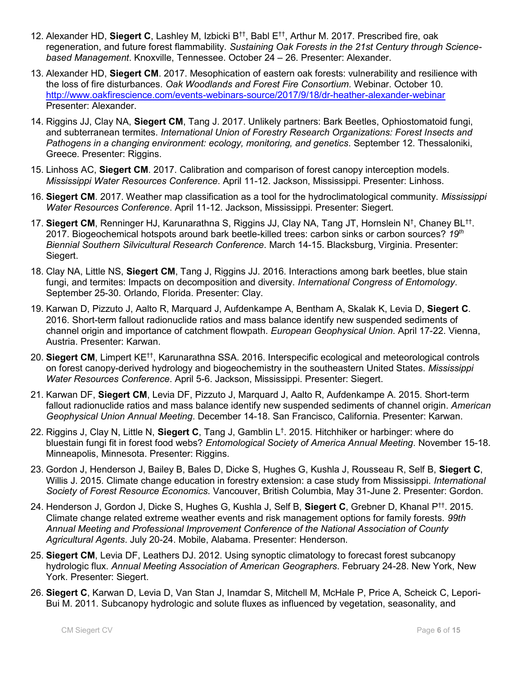- 12. Alexander HD, **Siegert C**, Lashley M, Izbicki B††, Babl E ††, Arthur M. 2017. Prescribed fire, oak regeneration, and future forest flammability. *Sustaining Oak Forests in the 21st Century through Sciencebased Management*. Knoxville, Tennessee. October 24 – 26. Presenter: Alexander.
- 13. Alexander HD, **Siegert CM**. 2017. Mesophication of eastern oak forests: vulnerability and resilience with the loss of fire disturbances. *Oak Woodlands and Forest Fire Consortium.* Webinar. October 10. <http://www.oakfirescience.com/events-webinars-source/2017/9/18/dr-heather-alexander-webinar> Presenter: Alexander.
- 14. Riggins JJ, Clay NA, **Siegert CM**, Tang J. 2017. Unlikely partners: Bark Beetles, Ophiostomatoid fungi, and subterranean termites. *International Union of Forestry Research Organizations: Forest Insects and Pathogens in a changing environment: ecology, monitoring, and genetics*. September 12. Thessaloniki, Greece. Presenter: Riggins.
- 15. Linhoss AC, **Siegert CM**. 2017. Calibration and comparison of forest canopy interception models. *Mississippi Water Resources Conference*. April 11-12. Jackson, Mississippi. Presenter: Linhoss.
- 16. **Siegert CM**. 2017. Weather map classification as a tool for the hydroclimatological community. *Mississippi Water Resources Conference*. April 11-12. Jackson, Mississippi. Presenter: Siegert.
- 17. Siegert CM, Renninger HJ, Karunarathna S, Riggins JJ, Clay NA, Tang JT, Hornslein N<sup>†</sup>, Chaney BL<sup>††</sup>. 2017. Biogeochemical hotspots around bark beetle-killed trees: carbon sinks or carbon sources? *19th Biennial Southern Silvicultural Research Conference*. March 14-15. Blacksburg, Virginia. Presenter: Siegert.
- 18. Clay NA, Little NS, **Siegert CM**, Tang J, Riggins JJ. 2016. Interactions among bark beetles, blue stain fungi, and termites: Impacts on decomposition and diversity. *International Congress of Entomology*. September 25-30. Orlando, Florida. Presenter: Clay.
- 19. Karwan D, Pizzuto J, Aalto R, Marquard J, Aufdenkampe A, Bentham A, Skalak K, Levia D, **Siegert C**. 2016. Short-term fallout radionuclide ratios and mass balance identify new suspended sediments of channel origin and importance of catchment flowpath. *European Geophysical Union*. April 17-22. Vienna, Austria. Presenter: Karwan.
- 20. **Siegert CM**, Limpert KE††, Karunarathna SSA. 2016. Interspecific ecological and meteorological controls on forest canopy-derived hydrology and biogeochemistry in the southeastern United States. *Mississippi Water Resources Conference*. April 5-6. Jackson, Mississippi. Presenter: Siegert.
- 21. Karwan DF, **Siegert CM**, Levia DF, Pizzuto J, Marquard J, Aalto R, Aufdenkampe A. 2015. Short-term fallout radionuclide ratios and mass balance identify new suspended sediments of channel origin. *American Geophysical Union Annual Meeting*. December 14-18. San Francisco, California. Presenter: Karwan.
- 22. Riggins J, Clay N, Little N, **Siegert C**, Tang J, Gamblin L† . 2015. Hitchhiker or harbinger: where do bluestain fungi fit in forest food webs? *Entomological Society of America Annual Meeting*. November 15-18. Minneapolis, Minnesota. Presenter: Riggins.
- 23. Gordon J, Henderson J, Bailey B, Bales D, Dicke S, Hughes G, Kushla J, Rousseau R, Self B, **Siegert C**, Willis J. 2015. Climate change education in forestry extension: a case study from Mississippi. *International Society of Forest Resource Economics*. Vancouver, British Columbia, May 31-June 2. Presenter: Gordon.
- 24. Henderson J, Gordon J, Dicke S, Hughes G, Kushla J, Self B, **Siegert C**, Grebner D, Khanal P††. 2015. Climate change related extreme weather events and risk management options for family forests. *99th Annual Meeting and Professional Improvement Conference of the National Association of County Agricultural Agents*. July 20-24. Mobile, Alabama. Presenter: Henderson.
- 25. **Siegert CM**, Levia DF, Leathers DJ. 2012. Using synoptic climatology to forecast forest subcanopy hydrologic flux. *Annual Meeting Association of American Geographers*. February 24-28. New York, New York. Presenter: Siegert.
- 26. **Siegert C**, Karwan D, Levia D, Van Stan J, Inamdar S, Mitchell M, McHale P, Price A, Scheick C, Lepori-Bui M. 2011. Subcanopy hydrologic and solute fluxes as influenced by vegetation, seasonality, and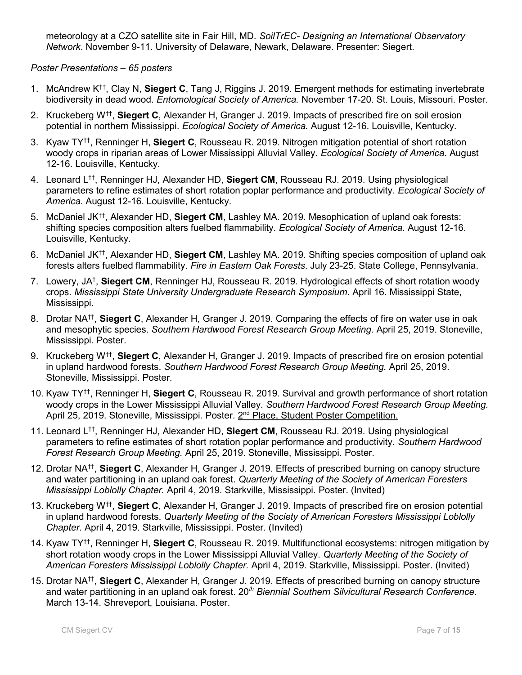meteorology at a CZO satellite site in Fair Hill, MD. *SoilTrEC- Designing an International Observatory Network*. November 9-11. University of Delaware, Newark, Delaware. Presenter: Siegert.

# *Poster Presentations – 65 posters*

- 1. McAndrew K††, Clay N, **Siegert C**, Tang J, Riggins J. 2019. Emergent methods for estimating invertebrate biodiversity in dead wood. *Entomological Society of America.* November 17-20. St. Louis, Missouri. Poster.
- 2. Kruckeberg W†† , **Siegert C**, Alexander H, Granger J. 2019. Impacts of prescribed fire on soil erosion potential in northern Mississippi. *Ecological Society of America.* August 12-16. Louisville, Kentucky.
- 3. Kyaw TY††, Renninger H, **Siegert C**, Rousseau R. 2019. Nitrogen mitigation potential of short rotation woody crops in riparian areas of Lower Mississippi Alluvial Valley. *Ecological Society of America.* August 12-16. Louisville, Kentucky.
- 4. Leonard L††, Renninger HJ, Alexander HD, **Siegert CM**, Rousseau RJ. 2019. Using physiological parameters to refine estimates of short rotation poplar performance and productivity. *Ecological Society of America.* August 12-16. Louisville, Kentucky.
- 5. McDaniel JK††, Alexander HD, **Siegert CM**, Lashley MA. 2019. Mesophication of upland oak forests: shifting species composition alters fuelbed flammability. *Ecological Society of America.* August 12-16. Louisville, Kentucky.
- 6. McDaniel JK††, Alexander HD, **Siegert CM**, Lashley MA. 2019. Shifting species composition of upland oak forests alters fuelbed flammability. *Fire in Eastern Oak Forests*. July 23-25. State College, Pennsylvania.
- 7. Lowery, JA† , **Siegert CM**, Renninger HJ, Rousseau R. 2019. Hydrological effects of short rotation woody crops. *Mississippi State University Undergraduate Research Symposium*. April 16. Mississippi State, Mississippi.
- 8. Drotar NA†† , **Siegert C**, Alexander H, Granger J. 2019. Comparing the effects of fire on water use in oak and mesophytic species. *Southern Hardwood Forest Research Group Meeting.* April 25, 2019. Stoneville, Mississippi. Poster.
- 9. Kruckeberg W†† , **Siegert C**, Alexander H, Granger J. 2019. Impacts of prescribed fire on erosion potential in upland hardwood forests. *Southern Hardwood Forest Research Group Meeting.* April 25, 2019. Stoneville, Mississippi. Poster.
- 10. Kyaw TY††, Renninger H, **Siegert C**, Rousseau R. 2019. Survival and growth performance of short rotation woody crops in the Lower Mississippi Alluvial Valley. *Southern Hardwood Forest Research Group Meeting.* April 25, 2019. Stoneville, Mississippi. Poster. 2<sup>nd</sup> Place, Student Poster Competition.
- 11. Leonard L††, Renninger HJ, Alexander HD, **Siegert CM**, Rousseau RJ. 2019. Using physiological parameters to refine estimates of short rotation poplar performance and productivity. *Southern Hardwood Forest Research Group Meeting.* April 25, 2019. Stoneville, Mississippi. Poster.
- 12. Drotar NA†† , **Siegert C**, Alexander H, Granger J. 2019. Effects of prescribed burning on canopy structure and water partitioning in an upland oak forest. *Quarterly Meeting of the Society of American Foresters Mississippi Loblolly Chapter.* April 4, 2019. Starkville, Mississippi. Poster. (Invited)
- 13. Kruckeberg W†† , **Siegert C**, Alexander H, Granger J. 2019. Impacts of prescribed fire on erosion potential in upland hardwood forests. *Quarterly Meeting of the Society of American Foresters Mississippi Loblolly Chapter.* April 4, 2019. Starkville, Mississippi. Poster. (Invited)
- 14. Kyaw TY††, Renninger H, **Siegert C**, Rousseau R. 2019. Multifunctional ecosystems: nitrogen mitigation by short rotation woody crops in the Lower Mississippi Alluvial Valley. *Quarterly Meeting of the Society of American Foresters Mississippi Loblolly Chapter.* April 4, 2019. Starkville, Mississippi. Poster. (Invited)
- 15. Drotar NA†† , **Siegert C**, Alexander H, Granger J. 2019. Effects of prescribed burning on canopy structure and water partitioning in an upland oak forest. 20*th Biennial Southern Silvicultural Research Conference*. March 13-14. Shreveport, Louisiana. Poster.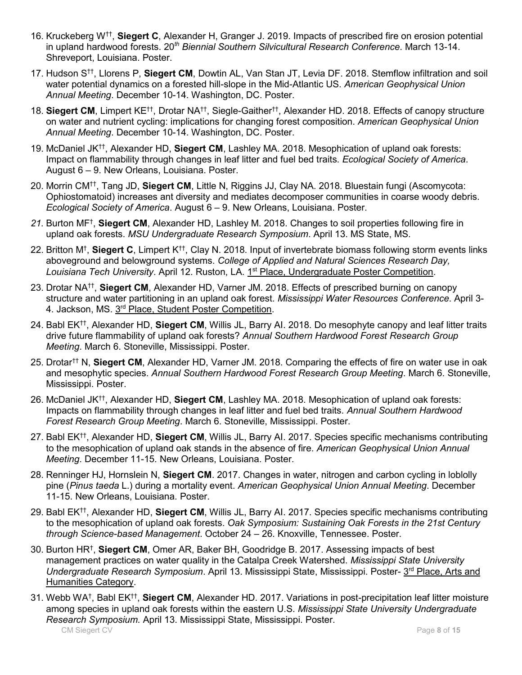- 16. Kruckeberg W†† , **Siegert C**, Alexander H, Granger J. 2019. Impacts of prescribed fire on erosion potential in upland hardwood forests. 20*th Biennial Southern Silvicultural Research Conference*. March 13-14. Shreveport, Louisiana. Poster.
- 17. Hudson S††, Llorens P, **Siegert CM**, Dowtin AL, Van Stan JT, Levia DF. 2018. Stemflow infiltration and soil water potential dynamics on a forested hill-slope in the Mid-Atlantic US. *American Geophysical Union Annual Meeting*. December 10-14. Washington, DC. Poster.
- 18. **Siegert CM**, Limpert KE††, Drotar NA††, Siegle-Gaither††, Alexander HD. 2018. Effects of canopy structure on water and nutrient cycling: implications for changing forest composition. *American Geophysical Union Annual Meeting*. December 10-14. Washington, DC. Poster.
- 19. McDaniel JK††, Alexander HD, **Siegert CM**, Lashley MA. 2018. Mesophication of upland oak forests: Impact on flammability through changes in leaf litter and fuel bed traits. *Ecological Society of America*. August 6 – 9. New Orleans, Louisiana. Poster.
- 20. Morrin CM††, Tang JD, **Siegert CM**, Little N, Riggins JJ, Clay NA. 2018. Bluestain fungi (Ascomycota: Ophiostomatoid) increases ant diversity and mediates decomposer communities in coarse woody debris. *Ecological Society of America*. August 6 – 9. New Orleans, Louisiana. Poster.
- *21.* Burton MF† , **Siegert CM**, Alexander HD, Lashley M. 2018. Changes to soil properties following fire in upland oak forests. *MSU Undergraduate Research Symposium*. April 13. MS State, MS.
- 22. Britton M† , **Siegert C**, Limpert K††, Clay N. 2018. Input of invertebrate biomass following storm events links aboveground and belowground systems. *College of Applied and Natural Sciences Research Day,*  Louisiana Tech University. April 12. Ruston, LA. 1<sup>st</sup> Place, Undergraduate Poster Competition.
- 23. Drotar NA†† , **Siegert CM**, Alexander HD, Varner JM. 2018. Effects of prescribed burning on canopy structure and water partitioning in an upland oak forest. *Mississippi Water Resources Conference*. April 3- 4. Jackson, MS. 3<sup>rd</sup> Place, Student Poster Competition.
- 24. Babl EK††, Alexander HD, **Siegert CM**, Willis JL, Barry AI. 2018. Do mesophyte canopy and leaf litter traits drive future flammability of upland oak forests? *Annual Southern Hardwood Forest Research Group Meeting*. March 6. Stoneville, Mississippi. Poster.
- 25. Drotar†† N, **Siegert CM**, Alexander HD, Varner JM. 2018. Comparing the effects of fire on water use in oak and mesophytic species. *Annual Southern Hardwood Forest Research Group Meeting*. March 6. Stoneville, Mississippi. Poster.
- 26. McDaniel JK††, Alexander HD, **Siegert CM**, Lashley MA. 2018. Mesophication of upland oak forests: Impacts on flammability through changes in leaf litter and fuel bed traits. *Annual Southern Hardwood Forest Research Group Meeting*. March 6. Stoneville, Mississippi. Poster.
- 27. Babl EK††, Alexander HD, **Siegert CM**, Willis JL, Barry AI. 2017. Species specific mechanisms contributing to the mesophication of upland oak stands in the absence of fire. *American Geophysical Union Annual Meeting*. December 11-15. New Orleans, Louisiana. Poster.
- 28. Renninger HJ, Hornslein N, **Siegert CM**. 2017. Changes in water, nitrogen and carbon cycling in loblolly pine (*Pinus taeda* L.) during a mortality event. *American Geophysical Union Annual Meeting*. December 11-15. New Orleans, Louisiana. Poster.
- 29. Babl EK††, Alexander HD, **Siegert CM**, Willis JL, Barry AI. 2017. Species specific mechanisms contributing to the mesophication of upland oak forests. *Oak Symposium: Sustaining Oak Forests in the 21st Century through Science-based Management*. October 24 – 26. Knoxville, Tennessee. Poster.
- 30. Burton HR† , **Siegert CM**, Omer AR, Baker BH, Goodridge B. 2017. Assessing impacts of best management practices on water quality in the Catalpa Creek Watershed. *Mississippi State University*  Undergraduate Research Symposium. April 13. Mississippi State, Mississippi. Poster- 3<sup>rd</sup> Place, Arts and Humanities Category.
- CM Siegert CV **Page 8** of **15** 31. Webb WA† , Babl EK†† , **Siegert CM**, Alexander HD. 2017. Variations in post-precipitation leaf litter moisture among species in upland oak forests within the eastern U.S. *Mississippi State University Undergraduate Research Symposium.* April 13. Mississippi State, Mississippi. Poster.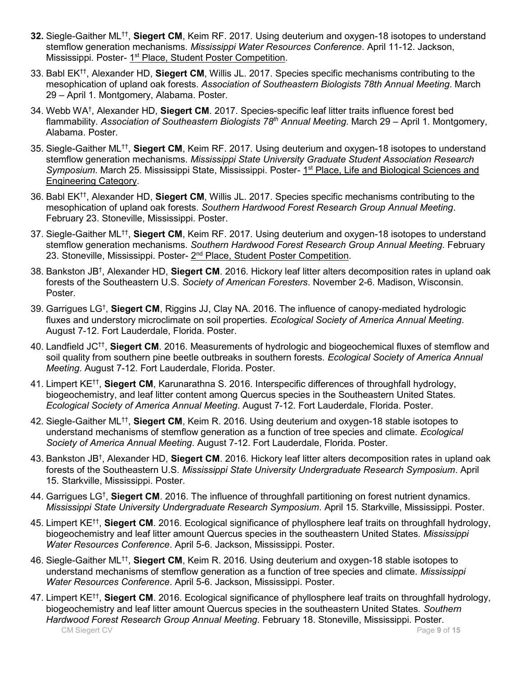- **32.** Siegle-Gaither ML<sup>††</sup>, Siegert CM, Keim RF. 2017. Using deuterium and oxygen-18 isotopes to understand stemflow generation mechanisms. *Mississippi Water Resources Conference*. April 11-12. Jackson, Mississippi. Poster- 1<sup>st</sup> Place, Student Poster Competition.
- 33. Babl EK††, Alexander HD, **Siegert CM**, Willis JL. 2017. Species specific mechanisms contributing to the mesophication of upland oak forests. *Association of Southeastern Biologists 78th Annual Meeting*. March 29 – April 1. Montgomery, Alabama. Poster.
- 34. Webb WA† , Alexander HD, **Siegert CM**. 2017. Species-specific leaf litter traits influence forest bed flammability. *Association of Southeastern Biologists 78th Annual Meeting*. March 29 – April 1. Montgomery, Alabama. Poster.
- 35. Siegle-Gaither ML<sup>††</sup>, Siegert CM, Keim RF. 2017. Using deuterium and oxygen-18 isotopes to understand stemflow generation mechanisms. *Mississippi State University Graduate Student Association Research*  Symposium. March 25. Mississippi State, Mississippi. Poster- 1<sup>st</sup> Place, Life and Biological Sciences and Engineering Category.
- 36. Babl EK††, Alexander HD, **Siegert CM**, Willis JL. 2017. Species specific mechanisms contributing to the mesophication of upland oak forests. *Southern Hardwood Forest Research Group Annual Meeting*. February 23. Stoneville, Mississippi. Poster.
- 37. Siegle-Gaither ML<sup>††</sup>, Siegert CM, Keim RF. 2017. Using deuterium and oxygen-18 isotopes to understand stemflow generation mechanisms. *Southern Hardwood Forest Research Group Annual Meeting*. February 23. Stoneville, Mississippi. Poster- 2<sup>nd</sup> Place, Student Poster Competition.
- 38. Bankston JB† , Alexander HD, **Siegert CM**. 2016. Hickory leaf litter alters decomposition rates in upland oak forests of the Southeastern U.S. *Society of American Foresters*. November 2-6. Madison, Wisconsin. Poster.
- 39. Garrigues LG† , **Siegert CM**, Riggins JJ, Clay NA. 2016. The influence of canopy-mediated hydrologic fluxes and understory microclimate on soil properties. *Ecological Society of America Annual Meeting*. August 7-12. Fort Lauderdale, Florida. Poster.
- 40. Landfield JC†† , **Siegert CM**. 2016. Measurements of hydrologic and biogeochemical fluxes of stemflow and soil quality from southern pine beetle outbreaks in southern forests. *Ecological Society of America Annual Meeting*. August 7-12. Fort Lauderdale, Florida. Poster.
- 41. Limpert KE†† , **Siegert CM**, Karunarathna S. 2016. Interspecific differences of throughfall hydrology, biogeochemistry, and leaf litter content among Quercus species in the Southeastern United States. *Ecological Society of America Annual Meeting*. August 7-12. Fort Lauderdale, Florida. Poster.
- 42. Siegle-Gaither ML<sup>††</sup>, Siegert CM, Keim R. 2016. Using deuterium and oxygen-18 stable isotopes to understand mechanisms of stemflow generation as a function of tree species and climate. *Ecological Society of America Annual Meeting*. August 7-12. Fort Lauderdale, Florida. Poster.
- 43. Bankston JB† , Alexander HD, **Siegert CM**. 2016. Hickory leaf litter alters decomposition rates in upland oak forests of the Southeastern U.S. *Mississippi State University Undergraduate Research Symposium*. April 15. Starkville, Mississippi. Poster.
- 44. Garrigues LG† , **Siegert CM**. 2016. The influence of throughfall partitioning on forest nutrient dynamics. *Mississippi State University Undergraduate Research Symposium*. April 15. Starkville, Mississippi. Poster.
- 45. Limpert KE†† , **Siegert CM**. 2016. Ecological significance of phyllosphere leaf traits on throughfall hydrology, biogeochemistry and leaf litter amount Quercus species in the southeastern United States. *Mississippi Water Resources Conference*. April 5-6. Jackson, Mississippi. Poster.
- 46. Siegle-Gaither ML<sup>††</sup>, Siegert CM, Keim R. 2016. Using deuterium and oxygen-18 stable isotopes to understand mechanisms of stemflow generation as a function of tree species and climate. *Mississippi Water Resources Conference*. April 5-6. Jackson, Mississippi. Poster.
- CM Siegert CV **Page 9** of **15** 47. Limpert KE†† , **Siegert CM**. 2016. Ecological significance of phyllosphere leaf traits on throughfall hydrology, biogeochemistry and leaf litter amount Quercus species in the southeastern United States. *Southern Hardwood Forest Research Group Annual Meeting*. February 18. Stoneville, Mississippi. Poster.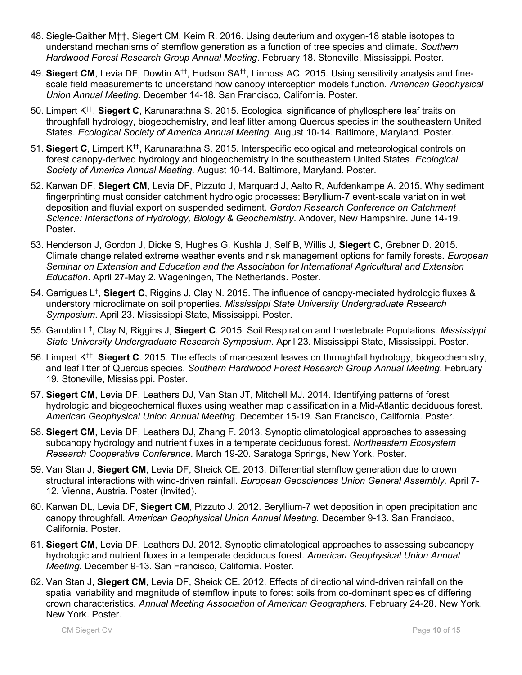- 48. Siegle-Gaither M††, Siegert CM, Keim R. 2016. Using deuterium and oxygen-18 stable isotopes to understand mechanisms of stemflow generation as a function of tree species and climate. *Southern Hardwood Forest Research Group Annual Meeting*. February 18. Stoneville, Mississippi. Poster.
- 49. **Siegert CM**, Levia DF, Dowtin A††, Hudson SA††, Linhoss AC. 2015. Using sensitivity analysis and finescale field measurements to understand how canopy interception models function. *American Geophysical Union Annual Meeting*. December 14-18. San Francisco, California. Poster.
- 50. Limpert K†† , **Siegert C**, Karunarathna S. 2015. Ecological significance of phyllosphere leaf traits on throughfall hydrology, biogeochemistry, and leaf litter among Quercus species in the southeastern United States. *Ecological Society of America Annual Meeting*. August 10-14. Baltimore, Maryland. Poster.
- 51. **Siegert C**, Limpert K††, Karunarathna S. 2015. Interspecific ecological and meteorological controls on forest canopy-derived hydrology and biogeochemistry in the southeastern United States. *Ecological Society of America Annual Meeting*. August 10-14. Baltimore, Maryland. Poster.
- 52. Karwan DF, **Siegert CM**, Levia DF, Pizzuto J, Marquard J, Aalto R, Aufdenkampe A. 2015. Why sediment fingerprinting must consider catchment hydrologic processes: Beryllium-7 event-scale variation in wet deposition and fluvial export on suspended sediment. *Gordon Research Conference on Catchment Science: Interactions of Hydrology, Biology & Geochemistry*. Andover, New Hampshire. June 14-19. Poster.
- 53. Henderson J, Gordon J, Dicke S, Hughes G, Kushla J, Self B, Willis J, **Siegert C**, Grebner D. 2015. Climate change related extreme weather events and risk management options for family forests. *European Seminar on Extension and Education and the Association for International Agricultural and Extension Education*. April 27-May 2. Wageningen, The Netherlands. Poster.
- 54. Garrigues L† , **Siegert C**, Riggins J, Clay N. 2015. The influence of canopy-mediated hydrologic fluxes & understory microclimate on soil properties. *Mississippi State University Undergraduate Research Symposium*. April 23. Mississippi State, Mississippi. Poster.
- 55. Gamblin L† , Clay N, Riggins J, **Siegert C**. 2015. Soil Respiration and Invertebrate Populations. *Mississippi State University Undergraduate Research Symposium*. April 23. Mississippi State, Mississippi. Poster.
- 56. Limpert K†† , **Siegert C**. 2015. The effects of marcescent leaves on throughfall hydrology, biogeochemistry, and leaf litter of Quercus species. *Southern Hardwood Forest Research Group Annual Meeting*. February 19. Stoneville, Mississippi. Poster.
- 57. **Siegert CM**, Levia DF, Leathers DJ, Van Stan JT, Mitchell MJ. 2014. Identifying patterns of forest hydrologic and biogeochemical fluxes using weather map classification in a Mid-Atlantic deciduous forest. *American Geophysical Union Annual Meeting*. December 15-19. San Francisco, California. Poster.
- 58. **Siegert CM**, Levia DF, Leathers DJ, Zhang F. 2013. Synoptic climatological approaches to assessing subcanopy hydrology and nutrient fluxes in a temperate deciduous forest. *Northeastern Ecosystem Research Cooperative Conference*. March 19-20. Saratoga Springs, New York. Poster.
- 59. Van Stan J, **Siegert CM**, Levia DF, Sheick CE. 2013. Differential stemflow generation due to crown structural interactions with wind-driven rainfall. *European Geosciences Union General Assembly.* April 7- 12. Vienna, Austria. Poster (Invited).
- 60. Karwan DL, Levia DF, **Siegert CM**, Pizzuto J. 2012. Beryllium-7 wet deposition in open precipitation and canopy throughfall. *American Geophysical Union Annual Meeting.* December 9-13. San Francisco, California. Poster.
- 61. **Siegert CM**, Levia DF, Leathers DJ. 2012. Synoptic climatological approaches to assessing subcanopy hydrologic and nutrient fluxes in a temperate deciduous forest. *American Geophysical Union Annual Meeting.* December 9-13. San Francisco, California. Poster.
- 62. Van Stan J, **Siegert CM**, Levia DF, Sheick CE. 2012. Effects of directional wind-driven rainfall on the spatial variability and magnitude of stemflow inputs to forest soils from co-dominant species of differing crown characteristics. *Annual Meeting Association of American Geographers*. February 24-28. New York, New York. Poster.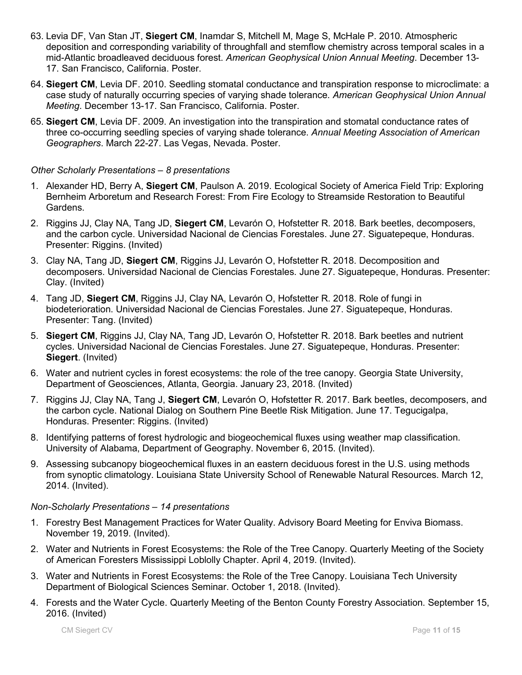- 63. Levia DF, Van Stan JT, **Siegert CM**, Inamdar S, Mitchell M, Mage S, McHale P. 2010. Atmospheric deposition and corresponding variability of throughfall and stemflow chemistry across temporal scales in a mid-Atlantic broadleaved deciduous forest. *American Geophysical Union Annual Meeting*. December 13- 17. San Francisco, California. Poster.
- 64. **Siegert CM**, Levia DF. 2010. Seedling stomatal conductance and transpiration response to microclimate: a case study of naturally occurring species of varying shade tolerance. *American Geophysical Union Annual Meeting*. December 13-17. San Francisco, California. Poster.
- 65. **Siegert CM**, Levia DF. 2009. An investigation into the transpiration and stomatal conductance rates of three co-occurring seedling species of varying shade tolerance. *Annual Meeting Association of American Geographers*. March 22-27. Las Vegas, Nevada. Poster.

# *Other Scholarly Presentations – 8 presentations*

- 1. Alexander HD, Berry A, **Siegert CM**, Paulson A. 2019. Ecological Society of America Field Trip: Exploring Bernheim Arboretum and Research Forest: From Fire Ecology to Streamside Restoration to Beautiful Gardens.
- 2. Riggins JJ, Clay NA, Tang JD, **Siegert CM**, Levarón O, Hofstetter R. 2018. Bark beetles, decomposers, and the carbon cycle. Universidad Nacional de Ciencias Forestales. June 27. Siguatepeque, Honduras. Presenter: Riggins. (Invited)
- 3. Clay NA, Tang JD, **Siegert CM**, Riggins JJ, Levarón O, Hofstetter R. 2018. Decomposition and decomposers. Universidad Nacional de Ciencias Forestales. June 27. Siguatepeque, Honduras. Presenter: Clay. (Invited)
- 4. Tang JD, **Siegert CM**, Riggins JJ, Clay NA, Levarón O, Hofstetter R. 2018. Role of fungi in biodeterioration. Universidad Nacional de Ciencias Forestales. June 27. Siguatepeque, Honduras. Presenter: Tang. (Invited)
- 5. **Siegert CM**, Riggins JJ, Clay NA, Tang JD, Levarón O, Hofstetter R. 2018. Bark beetles and nutrient cycles. Universidad Nacional de Ciencias Forestales. June 27. Siguatepeque, Honduras. Presenter: **Siegert**. (Invited)
- 6. Water and nutrient cycles in forest ecosystems: the role of the tree canopy. Georgia State University, Department of Geosciences, Atlanta, Georgia. January 23, 2018. (Invited)
- 7. Riggins JJ, Clay NA, Tang J, **Siegert CM**, Levarón O, Hofstetter R. 2017. Bark beetles, decomposers, and the carbon cycle. National Dialog on Southern Pine Beetle Risk Mitigation. June 17. Tegucigalpa, Honduras. Presenter: Riggins. (Invited)
- 8. Identifying patterns of forest hydrologic and biogeochemical fluxes using weather map classification. University of Alabama, Department of Geography. November 6, 2015. (Invited).
- 9. Assessing subcanopy biogeochemical fluxes in an eastern deciduous forest in the U.S. using methods from synoptic climatology. Louisiana State University School of Renewable Natural Resources. March 12, 2014. (Invited).

#### *Non-Scholarly Presentations – 14 presentations*

- 1. Forestry Best Management Practices for Water Quality. Advisory Board Meeting for Enviva Biomass. November 19, 2019. (Invited).
- 2. Water and Nutrients in Forest Ecosystems: the Role of the Tree Canopy. Quarterly Meeting of the Society of American Foresters Mississippi Loblolly Chapter. April 4, 2019. (Invited).
- 3. Water and Nutrients in Forest Ecosystems: the Role of the Tree Canopy. Louisiana Tech University Department of Biological Sciences Seminar. October 1, 2018. (Invited).
- 4. Forests and the Water Cycle. Quarterly Meeting of the Benton County Forestry Association. September 15, 2016. (Invited)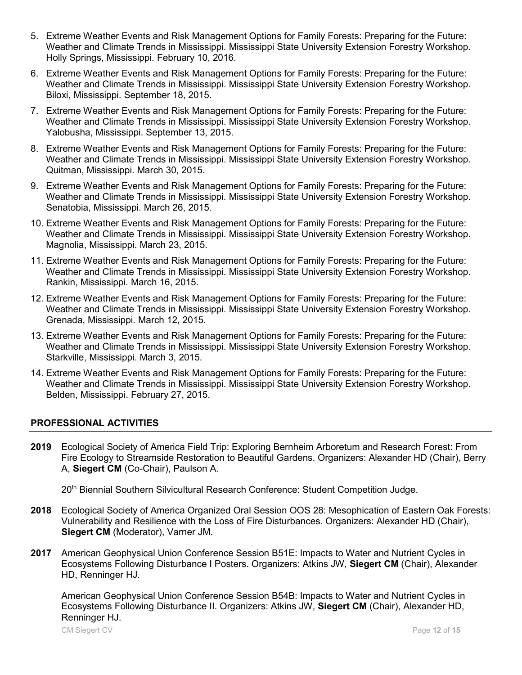- 5. Extreme Weather Events and Risk Management Options for Family Forests: Preparing for the Future: Weather and Climate Trends in Mississippi. Mississippi State University Extension Forestry Workshop. Holly Springs, Mississippi. February 10, 2016.
- 6. Extreme Weather Events and Risk Management Options for Family Forests: Preparing for the Future: Weather and Climate Trends in Mississippi. Mississippi State University Extension Forestry Workshop. Biloxi, Mississippi. September 18, 2015.
- 7. Extreme Weather Events and Risk Management Options for Family Forests: Preparing for the Future: Weather and Climate Trends in Mississippi. Mississippi State University Extension Forestry Workshop. Yalobusha, Mississippi. September 13, 2015.
- 8. Extreme Weather Events and Risk Management Options for Family Forests: Preparing for the Future: Weather and Climate Trends in Mississippi. Mississippi State University Extension Forestry Workshop. Quitman, Mississippi. March 30, 2015.
- 9. Extreme Weather Events and Risk Management Options for Family Forests: Preparing for the Future: Weather and Climate Trends in Mississippi. Mississippi State University Extension Forestry Workshop. Senatobia, Mississippi. March 26, 2015.
- 10. Extreme Weather Events and Risk Management Options for Family Forests: Preparing for the Future: Weather and Climate Trends in Mississippi. Mississippi State University Extension Forestry Workshop. Magnolia, Mississippi. March 23, 2015.
- 11. Extreme Weather Events and Risk Management Options for Family Forests: Preparing for the Future: Weather and Climate Trends in Mississippi. Mississippi State University Extension Forestry Workshop. Rankin, Mississippi. March 16, 2015.
- 12. Extreme Weather Events and Risk Management Options for Family Forests: Preparing for the Future: Weather and Climate Trends in Mississippi. Mississippi State University Extension Forestry Workshop. Grenada, Mississippi. March 12, 2015.
- 13. Extreme Weather Events and Risk Management Options for Family Forests: Preparing for the Future: Weather and Climate Trends in Mississippi. Mississippi State University Extension Forestry Workshop. Starkville, Mississippi. March 3, 2015.
- 14. Extreme Weather Events and Risk Management Options for Family Forests: Preparing for the Future: Weather and Climate Trends in Mississippi. Mississippi State University Extension Forestry Workshop. Belden, Mississippi. February 27, 2015.

# **PROFESSIONAL ACTIVITIES**

**2019** Ecological Society of America Field Trip: Exploring Bernheim Arboretum and Research Forest: From Fire Ecology to Streamside Restoration to Beautiful Gardens. Organizers: Alexander HD (Chair), Berry A, **Siegert CM** (Co-Chair), Paulson A.

20<sup>th</sup> Biennial Southern Silvicultural Research Conference: Student Competition Judge.

- **2018** Ecological Society of America Organized Oral Session OOS 28: Mesophication of Eastern Oak Forests: Vulnerability and Resilience with the Loss of Fire Disturbances. Organizers: Alexander HD (Chair), **Siegert CM** (Moderator), Varner JM.
- **2017** American Geophysical Union Conference Session B51E: Impacts to Water and Nutrient Cycles in Ecosystems Following Disturbance I Posters. Organizers: Atkins JW, **Siegert CM** (Chair), Alexander HD, Renninger HJ.

American Geophysical Union Conference Session B54B: Impacts to Water and Nutrient Cycles in Ecosystems Following Disturbance II. Organizers: Atkins JW, **Siegert CM** (Chair), Alexander HD, Renninger HJ.

CM Siegert CV Page **12** of **15**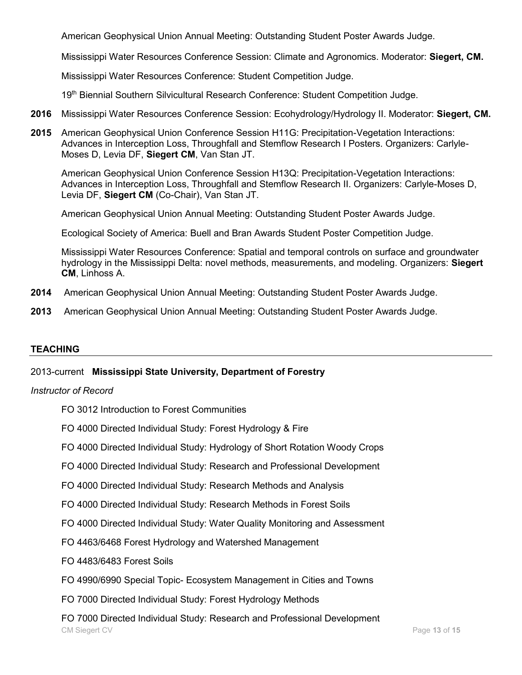American Geophysical Union Annual Meeting: Outstanding Student Poster Awards Judge.

Mississippi Water Resources Conference Session: Climate and Agronomics. Moderator: **Siegert, CM.**

Mississippi Water Resources Conference: Student Competition Judge.

19<sup>th</sup> Biennial Southern Silvicultural Research Conference: Student Competition Judge.

- **2016** Mississippi Water Resources Conference Session: Ecohydrology/Hydrology II. Moderator: **Siegert, CM.**
- **2015** American Geophysical Union Conference Session H11G: Precipitation-Vegetation Interactions: Advances in Interception Loss, Throughfall and Stemflow Research I Posters. Organizers: Carlyle-Moses D, Levia DF, **Siegert CM**, Van Stan JT.

American Geophysical Union Conference Session H13Q: Precipitation-Vegetation Interactions: Advances in Interception Loss, Throughfall and Stemflow Research II. Organizers: Carlyle-Moses D, Levia DF, **Siegert CM** (Co-Chair), Van Stan JT.

American Geophysical Union Annual Meeting: Outstanding Student Poster Awards Judge.

Ecological Society of America: Buell and Bran Awards Student Poster Competition Judge.

Mississippi Water Resources Conference: Spatial and temporal controls on surface and groundwater hydrology in the Mississippi Delta: novel methods, measurements, and modeling. Organizers: **Siegert CM**, Linhoss A.

- **2014** American Geophysical Union Annual Meeting: Outstanding Student Poster Awards Judge.
- **2013** American Geophysical Union Annual Meeting: Outstanding Student Poster Awards Judge.

#### **TEACHING**

#### 2013-current **Mississippi State University, Department of Forestry**

#### *Instructor of Record*

- FO 3012 Introduction to Forest Communities
- FO 4000 Directed Individual Study: Forest Hydrology & Fire
- FO 4000 Directed Individual Study: Hydrology of Short Rotation Woody Crops
- FO 4000 Directed Individual Study: Research and Professional Development
- FO 4000 Directed Individual Study: Research Methods and Analysis
- FO 4000 Directed Individual Study: Research Methods in Forest Soils
- FO 4000 Directed Individual Study: Water Quality Monitoring and Assessment
- FO 4463/6468 Forest Hydrology and Watershed Management
- FO 4483/6483 Forest Soils
- FO 4990/6990 Special Topic- Ecosystem Management in Cities and Towns
- FO 7000 Directed Individual Study: Forest Hydrology Methods
- CM Siegert CV Page **13** of **15** FO 7000 Directed Individual Study: Research and Professional Development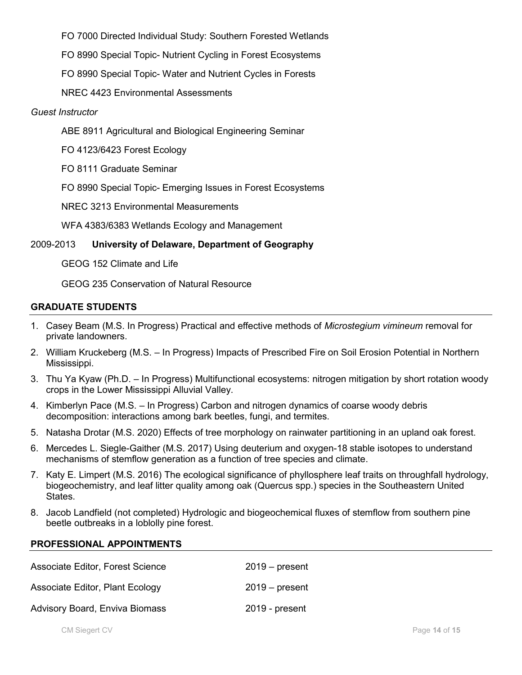FO 7000 Directed Individual Study: Southern Forested Wetlands

FO 8990 Special Topic- Nutrient Cycling in Forest Ecosystems

FO 8990 Special Topic- Water and Nutrient Cycles in Forests

NREC 4423 Environmental Assessments

#### *Guest Instructor*

ABE 8911 Agricultural and Biological Engineering Seminar

FO 4123/6423 Forest Ecology

FO 8111 Graduate Seminar

FO 8990 Special Topic- Emerging Issues in Forest Ecosystems

NREC 3213 Environmental Measurements

WFA 4383/6383 Wetlands Ecology and Management

#### 2009-2013 **University of Delaware, Department of Geography**

GEOG 152 Climate and Life

GEOG 235 Conservation of Natural Resource

#### **GRADUATE STUDENTS**

- 1. Casey Beam (M.S. In Progress) Practical and effective methods of *Microstegium vimineum* removal for private landowners.
- 2. William Kruckeberg (M.S. In Progress) Impacts of Prescribed Fire on Soil Erosion Potential in Northern Mississippi.
- 3. Thu Ya Kyaw (Ph.D. In Progress) Multifunctional ecosystems: nitrogen mitigation by short rotation woody crops in the Lower Mississippi Alluvial Valley.
- 4. Kimberlyn Pace (M.S. In Progress) Carbon and nitrogen dynamics of coarse woody debris decomposition: interactions among bark beetles, fungi, and termites.
- 5. Natasha Drotar (M.S. 2020) Effects of tree morphology on rainwater partitioning in an upland oak forest.
- 6. Mercedes L. Siegle-Gaither (M.S. 2017) Using deuterium and oxygen-18 stable isotopes to understand mechanisms of stemflow generation as a function of tree species and climate.
- 7. Katy E. Limpert (M.S. 2016) The ecological significance of phyllosphere leaf traits on throughfall hydrology, biogeochemistry, and leaf litter quality among oak (Quercus spp.) species in the Southeastern United States.
- 8. Jacob Landfield (not completed) Hydrologic and biogeochemical fluxes of stemflow from southern pine beetle outbreaks in a loblolly pine forest.

#### **PROFESSIONAL APPOINTMENTS**

| Associate Editor, Forest Science | $2019 - present$ |
|----------------------------------|------------------|
| Associate Editor, Plant Ecology  | $2019 - present$ |
| Advisory Board, Enviva Biomass   | 2019 - present   |

CM Siegert CV Page **14** of **15**